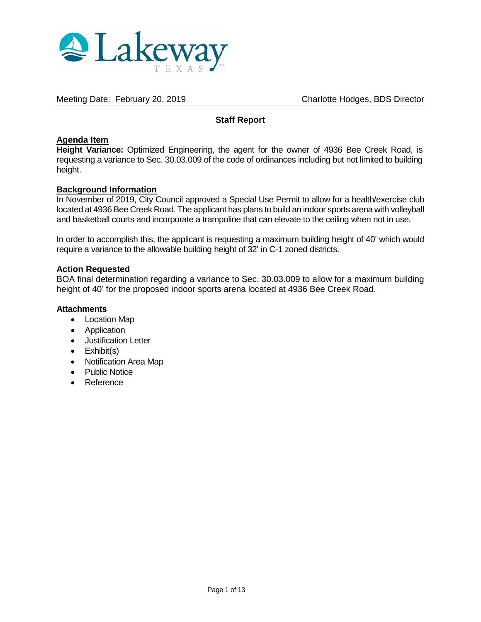

Meeting Date: February 20, 2019 Charlotte Hodges, BDS Director

# **Staff Report**

#### **Agenda Item**

**Height Variance:** Optimized Engineering, the agent for the owner of 4936 Bee Creek Road, is requesting a variance to Sec. 30.03.009 of the code of ordinances including but not limited to building height.

#### **Background Information**

In November of 2019, City Council approved a Special Use Permit to allow for a health/exercise club located at 4936 Bee Creek Road. The applicant has plans to build an indoor sports arena with volleyball and basketball courts and incorporate a trampoline that can elevate to the ceiling when not in use.

In order to accomplish this, the applicant is requesting a maximum building height of 40' which would require a variance to the allowable building height of 32' in C-1 zoned districts.

#### **Action Requested**

BOA final determination regarding a variance to Sec. 30.03.009 to allow for a maximum building height of 40' for the proposed indoor sports arena located at 4936 Bee Creek Road.

#### **Attachments**

- Location Map
- Application
- Justification Letter
- $\bullet$  Exhibit(s)
- Notification Area Map
- Public Notice
- Reference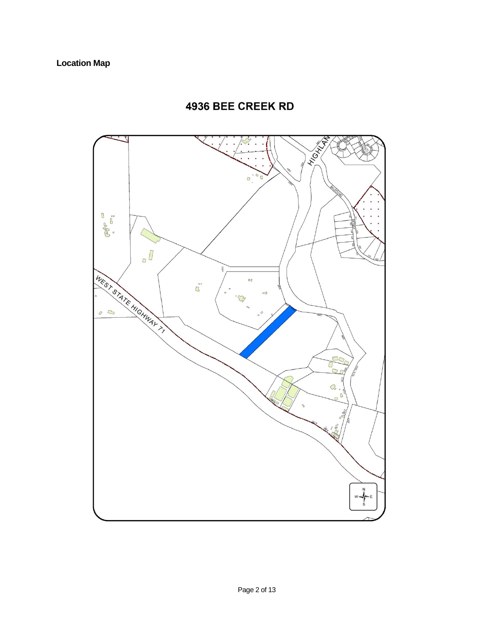# 4936 BEE CREEK RD

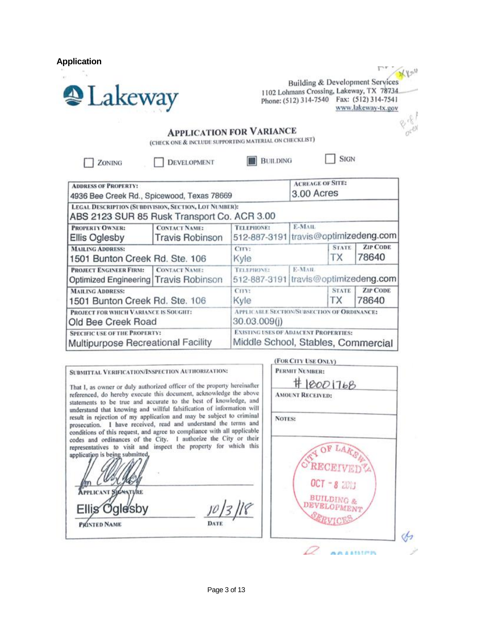**Application** 



 $Xv^u$ **Building & Development Services** 1102 Lohmans Crossing, Lakeway, TX 78734 Phone: (512) 314-7540 Fax: (512) 314-7541 www.lakeway-tx.gov

**SIGN** 

# **APPLICATION FOR VARIANCE**

(CHECK ONE & INCLUDE SUPPORTING MATERIAL ON CHECKLIST)

ZONING

**DEVELOPMENT** 

**BUILDING** 

(For City Her Overs)

**ACREAGE OF SITE: ADDRESS OF PROPERTY:** 3.00 Acres 4936 Bee Creek Rd., Spicewood, Texas 78669 LEGAL DESCRIPTION (SUBDIVISION, SECTION, LOT NUMBER): ABS 2123 SUR 85 Rusk Transport Co. ACR 3.00 PROPERTY OWNER: **CONTACT NAME: TELEPHONE:** E-MAIL travis@optimizedeng.com **Ellis Oglesby Travis Robinson** 512-887-3191 **ZIP CODE MAILING ADDRESS: STATE** CITY: 78640 ТX 1501 Bunton Creek Rd. Ste. 106 Kyle **PROJECT ENGINEER FIRM: CONTACT NAME:** TELEPHONE: E-MAIL 512-887-3191 travis@optimizedeng.com Optimized Engineering Travis Robinson **ZIP CODE** STATE **MAILING ADDRESS:** CITY: 1501 Bunton Creek Rd. Ste. 106 Kyle **TX** 78640 PROJECT FOR WHICH VARIANCE IS SOUGHT: APPLICABLE SECTION/SUBSECTION OF ORDINANCE: 30.03.009(i) Old Bee Creek Road **SPECIFIC USE OF THE PROPERTY: EXISTING USES OF ADJACENT PROPERTIES:** Middle School, Stables, Commercial **Multipurpose Recreational Facility** 

|                                                                                                                                                                                                                    | LOW CH L OPE OUT U                   |
|--------------------------------------------------------------------------------------------------------------------------------------------------------------------------------------------------------------------|--------------------------------------|
| SUBMITTAL VERIFICATION/INSPECTION AUTHORIZATION:<br>That I, as owner or duly authorized officer of the property hereinafter                                                                                        | PERMIT NUMBER:<br># 10001768         |
| referenced, do hereby execute this document, acknowledge the above<br>statements to be true and accurate to the best of knowledge, and<br>understand that knowing and willful falsification of information will    | <b>AMOUNT RECEIVED:</b>              |
| result in rejection of my application and may be subject to criminal<br>prosecution. I have received, read and understand the terms and<br>conditions of this request, and agree to compliance with all applicable | <b>NOTES:</b>                        |
| codes and ordinances of the City. I authorize the City or their<br>representatives to visit and inspect the property for which this<br>application is being submitted,<br><b>APPLICANT SIGNATURE</b>               | OF LAKER<br>$OCT = 8$ 2013           |
| Ellis Oglesby<br>PRINTED NAME<br>DATE                                                                                                                                                                              | <b>BUILDING &amp;</b><br>DEVELOPMENT |
|                                                                                                                                                                                                                    |                                      |
|                                                                                                                                                                                                                    |                                      |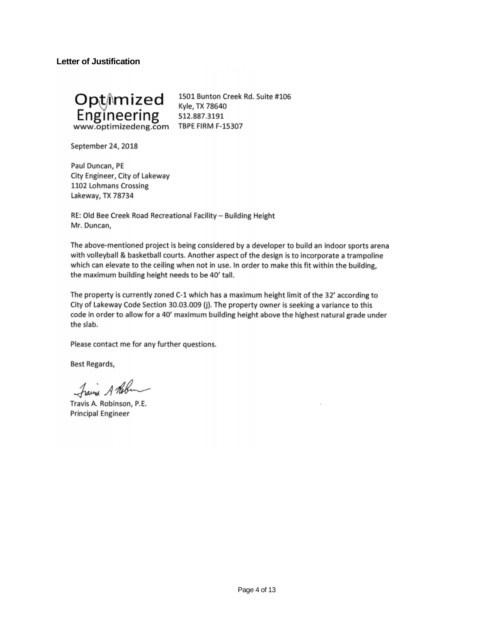**Letter of Justification** 



1501 Bunton Creek Rd. Suite #106 Kyle, TX 78640 512.887.3191 **TBPE FIRM F-15307** 

September 24, 2018

Paul Duncan, PE City Engineer, City of Lakeway 1102 Lohmans Crossing Lakeway, TX 78734

RE: Old Bee Creek Road Recreational Facility - Building Height Mr. Duncan,

The above-mentioned project is being considered by a developer to build an indoor sports arena with volleyball & basketball courts. Another aspect of the design is to incorporate a trampoline which can elevate to the ceiling when not in use. In order to make this fit within the building, the maximum building height needs to be 40' tall.

The property is currently zoned C-1 which has a maximum height limit of the 32' according to City of Lakeway Code Section 30.03.009 (j). The property owner is seeking a variance to this code in order to allow for a 40' maximum building height above the highest natural grade under the slab.

Please contact me for any further questions.

Best Regards,

Frais A Robin

Travis A. Robinson, P.E. **Principal Engineer**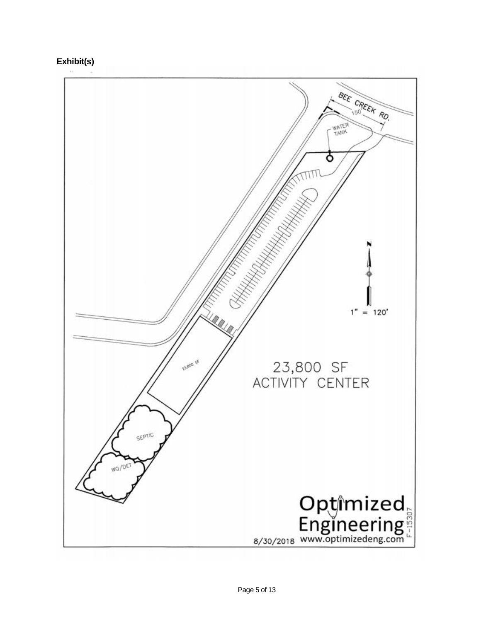**Exhibit(s)**

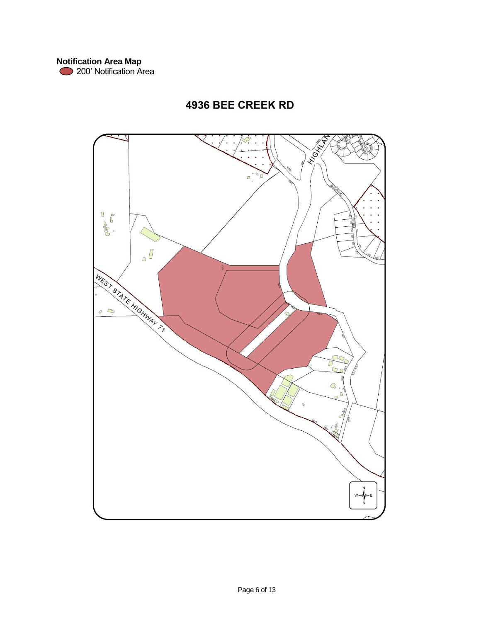# **4936 BEE CREEK RD**

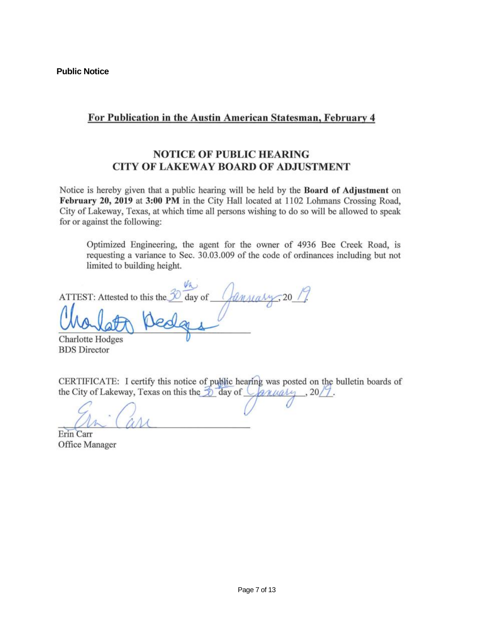# For Publication in the Austin American Statesman, February 4

# **NOTICE OF PUBLIC HEARING CITY OF LAKEWAY BOARD OF ADJUSTMENT**

Notice is hereby given that a public hearing will be held by the Board of Adjustment on February 20, 2019 at 3:00 PM in the City Hall located at 1102 Lohmans Crossing Road, City of Lakeway, Texas, at which time all persons wishing to do so will be allowed to speak for or against the following:

Optimized Engineering, the agent for the owner of 4936 Bee Creek Road, is requesting a variance to Sec. 30.03.009 of the code of ordinances including but not limited to building height.

day of  $\sqrt{a}$ Lansiary ATTEST: Attested to this the **Charlotte Hodges** 

**BDS** Director

CERTIFICATE: I certify this notice of public hearing was posted on the bulletin boards of the City of Lakeway, Texas on this the  $\sqrt[3]{\frac{1}{2}}$  day of  $\sqrt{2\pi}\sqrt{2\pi/3}$ , 20/7.

Erin Carr Office Manager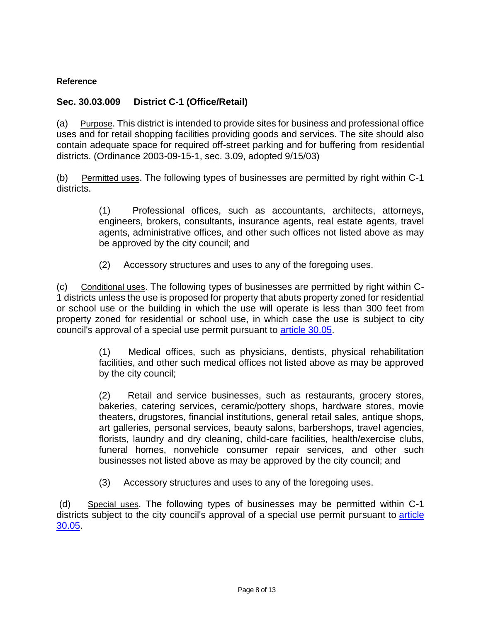#### **Reference**

# **Sec. 30.03.009 District C-1 (Office/Retail)**

(a) Purpose. This district is intended to provide sites for business and professional office uses and for retail shopping facilities providing goods and services. The site should also contain adequate space for required off-street parking and for buffering from residential districts. (Ordinance 2003-09-15-1, sec. 3.09, adopted 9/15/03)

(b) Permitted uses. The following types of businesses are permitted by right within C-1 districts.

> (1) Professional offices, such as accountants, architects, attorneys, engineers, brokers, consultants, insurance agents, real estate agents, travel agents, administrative offices, and other such offices not listed above as may be approved by the city council; and

(2) Accessory structures and uses to any of the foregoing uses.

(c) Conditional uses. The following types of businesses are permitted by right within C-1 districts unless the use is proposed for property that abuts property zoned for residential or school use or the building in which the use will operate is less than 300 feet from property zoned for residential or school use, in which case the use is subject to city council's approval of a special use permit pursuant to [article 30.05.](http://z2codes.franklinlegal.net/franklin/DocViewer.jsp?docid=97&z2collection=lakeway#JD_30.05)

> (1) Medical offices, such as physicians, dentists, physical rehabilitation facilities, and other such medical offices not listed above as may be approved by the city council;

> (2) Retail and service businesses, such as restaurants, grocery stores, bakeries, catering services, ceramic/pottery shops, hardware stores, movie theaters, drugstores, financial institutions, general retail sales, antique shops, art galleries, personal services, beauty salons, barbershops, travel agencies, florists, laundry and dry cleaning, child-care facilities, health/exercise clubs, funeral homes, nonvehicle consumer repair services, and other such businesses not listed above as may be approved by the city council; and

(3) Accessory structures and uses to any of the foregoing uses.

(d) Special uses. The following types of businesses may be permitted within C-1 districts subject to the city council's approval of a special use permit pursuant to article [30.05.](http://z2codes.franklinlegal.net/franklin/DocViewer.jsp?docid=97&z2collection=lakeway#JD_30.05)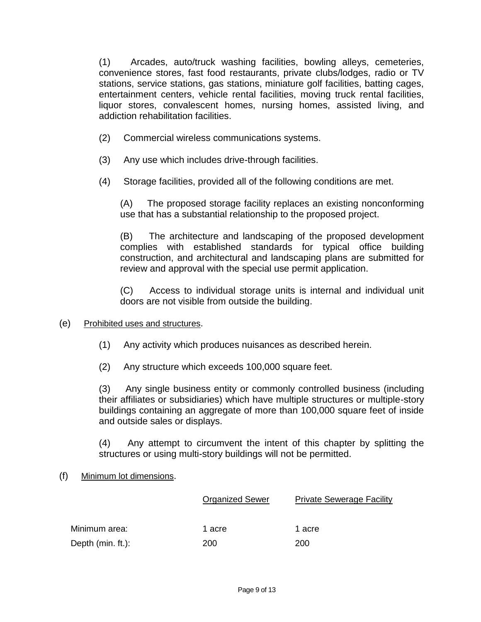(1) Arcades, auto/truck washing facilities, bowling alleys, cemeteries, convenience stores, fast food restaurants, private clubs/lodges, radio or TV stations, service stations, gas stations, miniature golf facilities, batting cages, entertainment centers, vehicle rental facilities, moving truck rental facilities, liquor stores, convalescent homes, nursing homes, assisted living, and addiction rehabilitation facilities.

- (2) Commercial wireless communications systems.
- (3) Any use which includes drive-through facilities.
- (4) Storage facilities, provided all of the following conditions are met.

(A) The proposed storage facility replaces an existing nonconforming use that has a substantial relationship to the proposed project.

(B) The architecture and landscaping of the proposed development complies with established standards for typical office building construction, and architectural and landscaping plans are submitted for review and approval with the special use permit application.

(C) Access to individual storage units is internal and individual unit doors are not visible from outside the building.

## (e) Prohibited uses and structures.

- (1) Any activity which produces nuisances as described herein.
- (2) Any structure which exceeds 100,000 square feet.

(3) Any single business entity or commonly controlled business (including their affiliates or subsidiaries) which have multiple structures or multiple-story buildings containing an aggregate of more than 100,000 square feet of inside and outside sales or displays.

(4) Any attempt to circumvent the intent of this chapter by splitting the structures or using multi-story buildings will not be permitted.

## (f) Minimum lot dimensions.

|                     | <b>Organized Sewer</b> | <b>Private Sewerage Facility</b> |  |
|---------------------|------------------------|----------------------------------|--|
| Minimum area:       | 1 acre                 | 1 acre                           |  |
| Depth $(min. ft.):$ | 200                    | 200                              |  |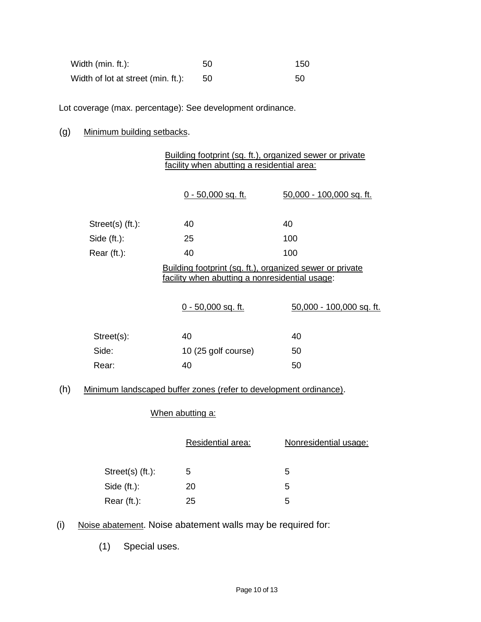| Width (min. ft.):                  | 50  | 150 |
|------------------------------------|-----|-----|
| Width of lot at street (min. ft.): | 50. | 50  |

Lot coverage (max. percentage): See development ordinance.

# (g) Minimum building setbacks.

|                                                                                                            | Building footprint (sq. ft.), organized sewer or private<br>facility when abutting a residential area: |                          |  |
|------------------------------------------------------------------------------------------------------------|--------------------------------------------------------------------------------------------------------|--------------------------|--|
|                                                                                                            | 0 - 50,000 sq. ft.                                                                                     | 50,000 - 100,000 sq. ft. |  |
| $Street(s)$ (ft.):                                                                                         | 40                                                                                                     | 40                       |  |
| Side $(ft.)$ :                                                                                             | 25                                                                                                     | 100                      |  |
| Rear (ft.):                                                                                                | 40                                                                                                     | 100                      |  |
| Building footprint (sq. ft.), organized sewer or private<br>facility when abutting a nonresidential usage: |                                                                                                        |                          |  |
|                                                                                                            | 0 - 50,000 sq. ft.                                                                                     | 50,000 - 100,000 sq. ft. |  |
| Street(s):                                                                                                 | 40                                                                                                     | 40                       |  |
| Side:                                                                                                      | 10 (25 golf course)                                                                                    | 50                       |  |
| Rear:                                                                                                      | 40                                                                                                     | 50                       |  |
|                                                                                                            |                                                                                                        |                          |  |

# (h) Minimum landscaped buffer zones (refer to development ordinance).

# When abutting a:

|                  | <b>Residential area:</b> | Nonresidential usage: |
|------------------|--------------------------|-----------------------|
| Street(s) (ft.): | 5                        | 5                     |
| Side (ft.):      | 20                       | 5                     |
| Rear (ft.):      | 25                       | 5                     |

(i) Noise abatement. Noise abatement walls may be required for:

(1) Special uses.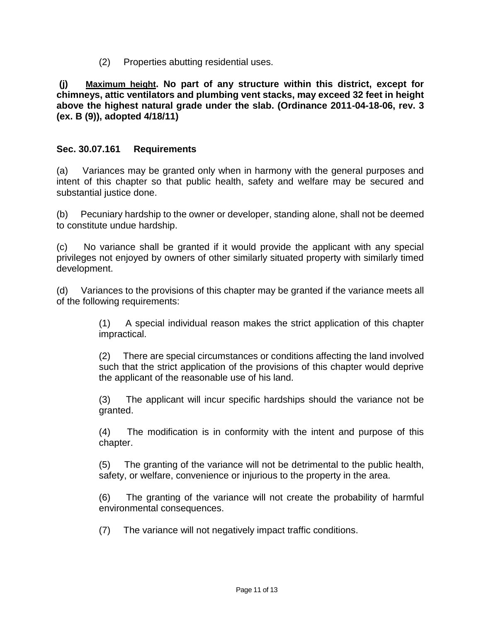(2) Properties abutting residential uses.

**(j) Maximum height. No part of any structure within this district, except for chimneys, attic ventilators and plumbing vent stacks, may exceed 32 feet in height above the highest natural grade under the slab. (Ordinance 2011-04-18-06, rev. 3 (ex. B (9)), adopted 4/18/11)**

# **Sec. 30.07.161 Requirements**

(a) Variances may be granted only when in harmony with the general purposes and intent of this chapter so that public health, safety and welfare may be secured and substantial justice done.

(b) Pecuniary hardship to the owner or developer, standing alone, shall not be deemed to constitute undue hardship.

(c) No variance shall be granted if it would provide the applicant with any special privileges not enjoyed by owners of other similarly situated property with similarly timed development.

(d) Variances to the provisions of this chapter may be granted if the variance meets all of the following requirements:

> (1) A special individual reason makes the strict application of this chapter impractical.

> (2) There are special circumstances or conditions affecting the land involved such that the strict application of the provisions of this chapter would deprive the applicant of the reasonable use of his land.

> (3) The applicant will incur specific hardships should the variance not be granted.

> (4) The modification is in conformity with the intent and purpose of this chapter.

> (5) The granting of the variance will not be detrimental to the public health, safety, or welfare, convenience or injurious to the property in the area.

> (6) The granting of the variance will not create the probability of harmful environmental consequences.

(7) The variance will not negatively impact traffic conditions.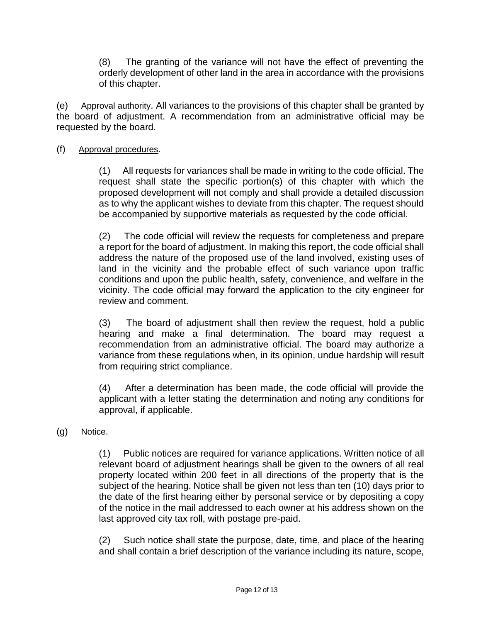(8) The granting of the variance will not have the effect of preventing the orderly development of other land in the area in accordance with the provisions of this chapter.

(e) Approval authority. All variances to the provisions of this chapter shall be granted by the board of adjustment. A recommendation from an administrative official may be requested by the board.

# (f) Approval procedures.

(1) All requests for variances shall be made in writing to the code official. The request shall state the specific portion(s) of this chapter with which the proposed development will not comply and shall provide a detailed discussion as to why the applicant wishes to deviate from this chapter. The request should be accompanied by supportive materials as requested by the code official.

(2) The code official will review the requests for completeness and prepare a report for the board of adjustment. In making this report, the code official shall address the nature of the proposed use of the land involved, existing uses of land in the vicinity and the probable effect of such variance upon traffic conditions and upon the public health, safety, convenience, and welfare in the vicinity. The code official may forward the application to the city engineer for review and comment.

(3) The board of adjustment shall then review the request, hold a public hearing and make a final determination. The board may request a recommendation from an administrative official. The board may authorize a variance from these regulations when, in its opinion, undue hardship will result from requiring strict compliance.

(4) After a determination has been made, the code official will provide the applicant with a letter stating the determination and noting any conditions for approval, if applicable.

## (g) Notice.

(1) Public notices are required for variance applications. Written notice of all relevant board of adjustment hearings shall be given to the owners of all real property located within 200 feet in all directions of the property that is the subject of the hearing. Notice shall be given not less than ten (10) days prior to the date of the first hearing either by personal service or by depositing a copy of the notice in the mail addressed to each owner at his address shown on the last approved city tax roll, with postage pre-paid.

(2) Such notice shall state the purpose, date, time, and place of the hearing and shall contain a brief description of the variance including its nature, scope,